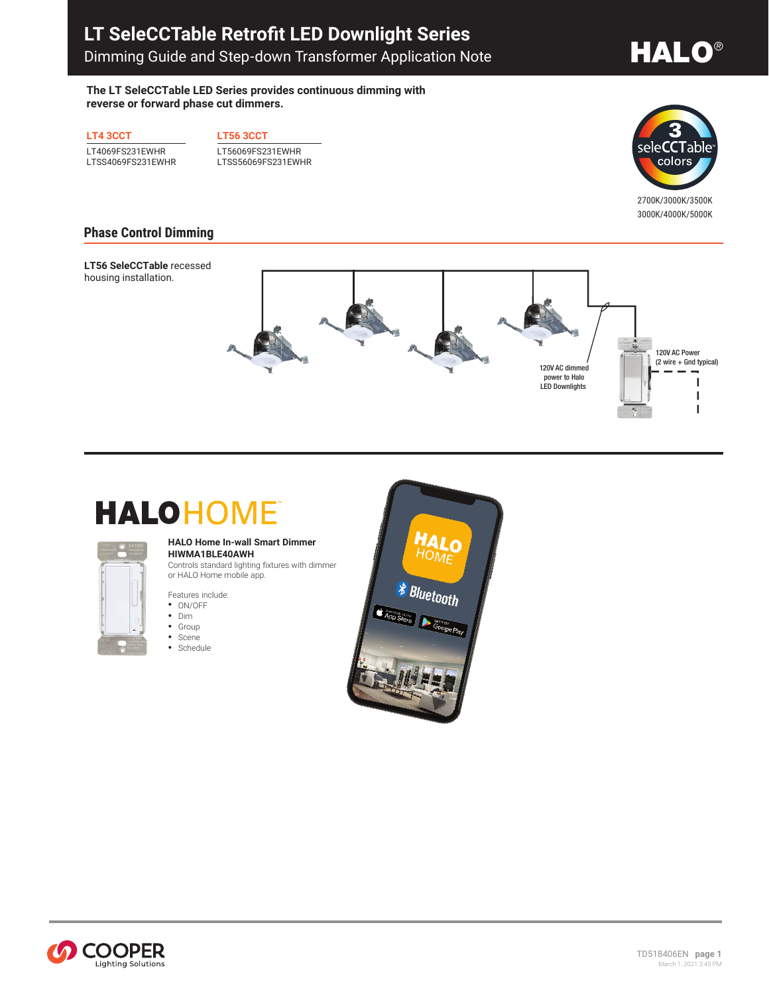## **LT SeleCCTable Retrofit LED Downlight Series** Dimming Guide and Step-down Transformer Application Note

# **HALO®**

**The LT SeleCCTable LED Series provides continuous dimming with reverse or forward phase cut dimmers.**

**LT4 3CCT**

LT4069FS231EWHR LTSS4069FS231EWHR **LT56 3CCT**

LT56069FS231EWHR LTSS56069FS231EWHR



 **3000K • 4000K • 5000K** 2700K/3000K/3500K 3000K/4000K/5000K

### **Phase Control Dimming**

**LT56 SeleCCTable** recessed housing installation.



# **HALOHOME**



#### **HALO Home In-wall Smart Dimmer HIWMA1BLE40AWH**

Controls standard lighting fixtures with dimmer or HALO Home mobile app.

Features include:

- ON/OFF
- Dim • Group
- Scene
- Schedule



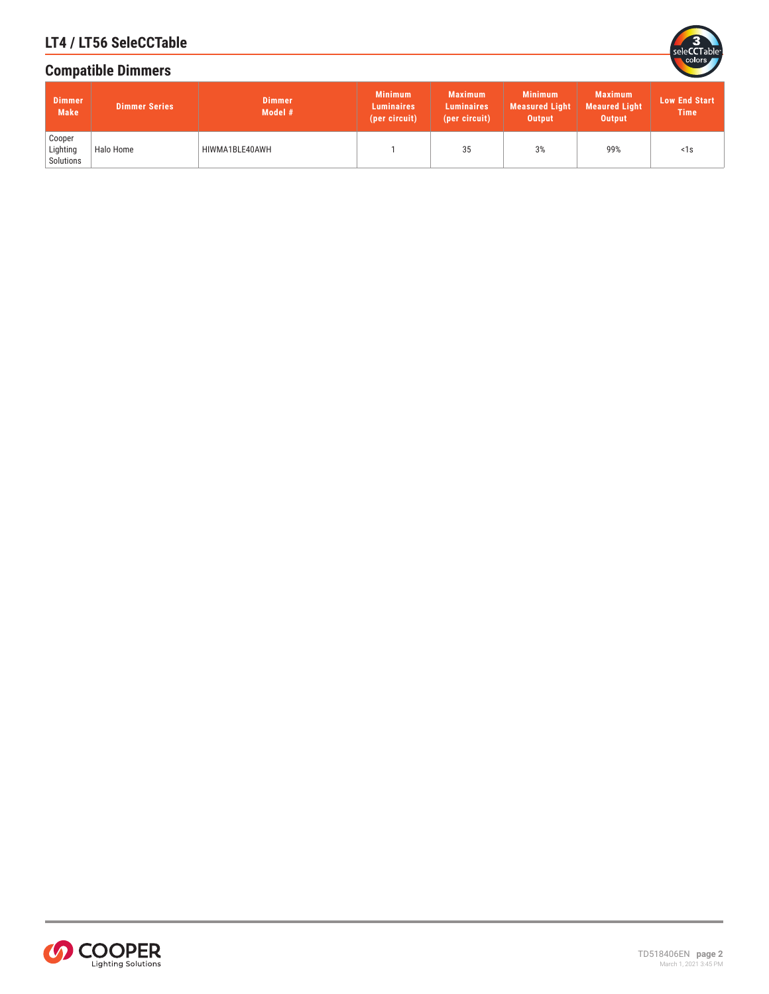

## **LT4 / LT56 SeleCCTable**

## **Compatible Dimmers**

| <b>Dimmer</b><br><b>Make</b>    | <b>Dimmer Series</b> | <b>Dimmer</b><br>Model # | <b>Minimum</b><br><b>Luminaires</b><br>(per circuit) | <b>Maximum</b><br><b>Luminaires</b><br>(per circuit) | <b>Minimum</b><br><b>Measured Light</b><br>Output | <b>Maximum</b><br><b>Meaured Light</b><br>Output | <b>Low End Start</b><br><b>Time</b> |
|---------------------------------|----------------------|--------------------------|------------------------------------------------------|------------------------------------------------------|---------------------------------------------------|--------------------------------------------------|-------------------------------------|
| Cooper<br>Lighting<br>Solutions | Halo Home            | HIWMA1BLE40AWH           |                                                      | 35                                                   | 3%                                                | 99%                                              | <1s                                 |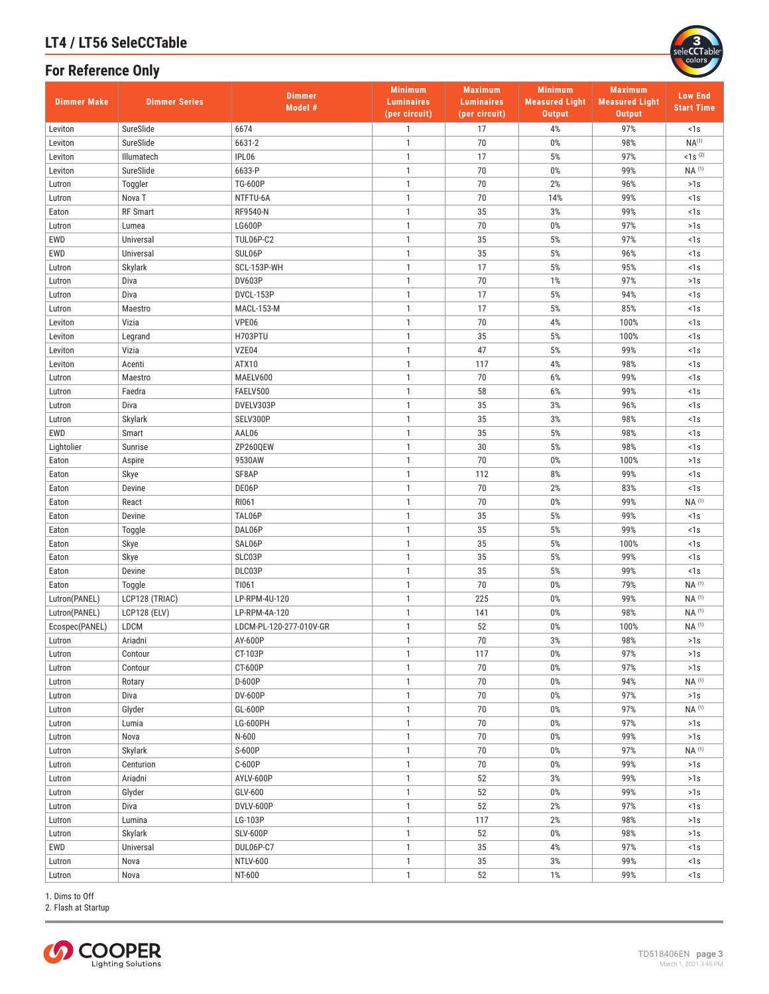## **LT4 / LT56 SeleCCTable**

### **For Reference Only**



| <b>Dimmer Make</b> | <b>Dimmer Series</b> | <b>Dimmer</b><br>Model # | <b>Minimum</b><br><b>Luminaires</b><br>(per circuit) | <b>Maximum</b><br><b>Luminaires</b><br>(per circuit) | <b>Minimum</b><br><b>Measured Light</b><br><b>Output</b> | <b>Maximum</b><br><b>Measured Light</b><br><b>Output</b> | <b>Low End</b><br><b>Start Time</b> |
|--------------------|----------------------|--------------------------|------------------------------------------------------|------------------------------------------------------|----------------------------------------------------------|----------------------------------------------------------|-------------------------------------|
| Leviton            | SureSlide            | 6674                     | $\mathbf{1}$                                         | 17                                                   | 4%                                                       | 97%                                                      | $1s$                                |
| Leviton            | SureSlide            | 6631-2                   | $\mathbf{1}$                                         | 70                                                   | 0%                                                       | 98%                                                      | $NA^{(1)}$                          |
| Leviton            | Illumatech           | IPL06                    | $\mathbf{1}$                                         | 17                                                   | 5%                                                       | 97%                                                      | $1s^{(2)}$                          |
| Leviton            | SureSlide            | 6633-P                   | $\mathbf{1}$                                         | 70                                                   | 0%                                                       | 99%                                                      | NA (1)                              |
| Lutron             | Toggler              | <b>TG-600P</b>           | $\mathbf{1}$                                         | 70                                                   | 2%                                                       | 96%                                                      | >1s                                 |
| Lutron             | Nova <sub>T</sub>    | NTFTU-6A                 | $\mathbf{1}$                                         | 70                                                   | 14%                                                      | 99%                                                      | <1s                                 |
| Eaton              | <b>RF Smart</b>      | RF9540-N                 | $\mathbf{1}$                                         | 35                                                   | 3%                                                       | 99%                                                      | <1s                                 |
| Lutron             | Lumea                | <b>LG600P</b>            | $\mathbf{1}$                                         | 70                                                   | 0%                                                       | 97%                                                      | >1s                                 |
| EWD                | Universal            | <b>TUL06P-C2</b>         | $\mathbf{1}$                                         | 35                                                   | $5%$                                                     | 97%                                                      | <1s                                 |
| EWD                | Universal            | SUL06P                   | $\mathbf{1}$                                         | 35                                                   | 5%                                                       | 96%                                                      | <1s                                 |
| Lutron             | Skylark              | SCL-153P-WH              | $\mathbf{1}$                                         | 17                                                   | 5%                                                       | 95%                                                      | <1s                                 |
| Lutron             | Diva                 | <b>DV603P</b>            | $\mathbf{1}$                                         | 70                                                   | 1%                                                       | 97%                                                      | >1s                                 |
| Lutron             | Diva                 | DVCL-153P                | $\mathbf{1}$                                         | 17                                                   | $5%$                                                     | 94%                                                      | <1s                                 |
| Lutron             | Maestro              | <b>MACL-153-M</b>        | $\mathbf{1}$                                         | 17                                                   | $5%$                                                     | 85%                                                      | <1s                                 |
| Leviton            | Vizia                | VPE06                    | $\mathbf{1}$                                         | 70                                                   | 4%                                                       | 100%                                                     | <1s                                 |
| Leviton            | Legrand              | H703PTU                  | $\mathbf{1}$                                         | 35                                                   | 5%                                                       | 100%                                                     | <1s                                 |
| Leviton            | Vizia                | VZE04                    | $\mathbf{1}$                                         | 47                                                   | 5%                                                       | 99%                                                      | <1s                                 |
| Leviton            | Acenti               | ATX10                    | $\mathbf{1}$                                         | 117                                                  | 4%                                                       | 98%                                                      | <1s                                 |
| Lutron             | Maestro              | MAELV600                 | $\mathbf{1}$                                         | 70                                                   | 6%                                                       | 99%                                                      | $1s$                                |
| Lutron             | Faedra               | FAELV500                 | $\mathbf{1}$                                         | 58                                                   | $6\%$                                                    | 99%                                                      | 1s                                  |
| Lutron             | Diva                 | DVELV303P                | $\mathbf{1}$                                         | 35                                                   | 3%                                                       | 96%                                                      | <1s                                 |
| Lutron             | Skylark              | SELV300P                 | $\mathbf{1}$                                         | 35                                                   | 3%                                                       | 98%                                                      | <1s                                 |
| EWD                | Smart                | AAL06                    | $\mathbf{1}$                                         | 35                                                   | 5%                                                       | 98%                                                      | <1s                                 |
| Lightolier         | Sunrise              | ZP260QEW                 | $\mathbf{1}$                                         | 30                                                   | 5%                                                       | 98%                                                      | <1s                                 |
| Eaton              | Aspire               | 9530AW                   | $\mathbf{1}$                                         | 70                                                   | $0\%$                                                    | 100%                                                     | >1s                                 |
| Eaton              | Skye                 | SF8AP                    | $\mathbf{1}$                                         | 112                                                  | 8%                                                       | 99%                                                      | $1s$                                |
| Eaton              | Devine               | DE06P                    | $\mathbf{1}$                                         | 70                                                   | 2%                                                       | 83%                                                      | <1s                                 |
| Eaton              | React                | RI061                    | $\mathbf{1}$                                         | 70                                                   | $0\%$                                                    | 99%                                                      | $NA$ <sup>(1)</sup>                 |
| Eaton              | Devine               | TAL06P                   | $\mathbf{1}$                                         | 35                                                   | 5%                                                       | 99%                                                      | <1s                                 |
| Eaton              | Toggle               | DAL06P                   | $\mathbf{1}$                                         | 35                                                   | 5%                                                       | 99%                                                      | <1s                                 |
| Eaton              | Skye                 | SAL06P                   | $\mathbf{1}$                                         | 35                                                   | $5%$                                                     | 100%                                                     | <1s                                 |
| Eaton              | Skye                 | SLC03P                   | $\mathbf{1}$                                         | 35                                                   | $5%$                                                     | 99%                                                      | 1s                                  |
| Eaton              | Devine               | DLC03P                   | $\mathbf{1}$                                         | 35                                                   | $5%$                                                     | 99%                                                      | <1s                                 |
| Eaton              | Toggle               | TI061                    | $\mathbf{1}$                                         | 70                                                   | 0%                                                       | 79%                                                      | NA (1)                              |
| Lutron(PANEL)      | LCP128 (TRIAC)       | LP-RPM-4U-120            | $\mathbf{1}$                                         | 225                                                  | 0%                                                       | 99%                                                      | $NA$ <sup>(1)</sup>                 |
| Lutron(PANEL)      | <b>LCP128 (ELV)</b>  | LP-RPM-4A-120            | $\mathbf{1}$                                         | 141                                                  | 0%                                                       | 98%                                                      | NA (1)                              |
| Ecospec(PANEL)     | LDCM                 | LDCM-PL-120-277-010V-GR  | $\mathbf{1}$<br>$\mathbf{1}$                         | 52<br>70                                             | 0%                                                       | 100%                                                     | $NA$ <sup>(1)</sup>                 |
| Lutron             | Ariadni              | AY-600P                  |                                                      |                                                      | 3%                                                       | 98%                                                      | >1s                                 |
| Lutron             | Contour              | CT-103P<br>CT-600P       | $\mathbf{1}$<br>$\mathbf{1}$                         | 117<br>70                                            | $0\%$                                                    | 97%<br>97%                                               | >1s                                 |
| Lutron             | Contour<br>Rotary    | D-600P                   | $\mathbf{1}$                                         | 70                                                   | 0%<br>0%                                                 | 94%                                                      | >1s<br>$NA$ <sup>(1)</sup>          |
| Lutron             | Diva                 | DV-600P                  | $\mathbf{1}$                                         | 70                                                   | $0\%$                                                    | 97%                                                      | >1s                                 |
| Lutron<br>Lutron   | Glyder               | GL-600P                  | $\mathbf{1}$                                         | 70                                                   | 0%                                                       | 97%                                                      | NA (1)                              |
| Lutron             | Lumia                | LG-600PH                 | $\mathbf{1}$                                         | 70                                                   | $0\%$                                                    | 97%                                                      | >1s                                 |
|                    |                      | N-600                    | $\mathbf{1}$                                         | 70                                                   | $0\%$                                                    | 99%                                                      | >1s                                 |
| Lutron<br>Lutron   | Nova<br>Skylark      | S-600P                   | $\mathbf{1}$                                         | 70                                                   | 0%                                                       | 97%                                                      | $NA$ <sup>(1)</sup>                 |
| Lutron             | Centurion            | C-600P                   | $\mathbf{1}$                                         | 70                                                   | $0\%$                                                    | 99%                                                      | >1s                                 |
| Lutron             | Ariadni              | AYLV-600P                | $\mathbf{1}$                                         | 52                                                   | 3%                                                       | 99%                                                      | >1s                                 |
| Lutron             | Glyder               | GLV-600                  | $\mathbf{1}$                                         | 52                                                   | 0%                                                       | 99%                                                      | >1s                                 |
|                    | Diva                 | DVLV-600P                | $\mathbf{1}$                                         | 52                                                   | 2%                                                       | 97%                                                      | 1s                                  |
| Lutron             | Lumina               | LG-103P                  | $\mathbf{1}$                                         | 117                                                  | 2%                                                       | 98%                                                      | >1s                                 |
| Lutron<br>Lutron   | Skylark              | <b>SLV-600P</b>          | $\mathbf{1}$                                         | 52                                                   | 0%                                                       | 98%                                                      | >1s                                 |
| EWD                |                      | DUL06P-C7                | $\mathbf{1}$                                         |                                                      |                                                          | 97%                                                      |                                     |
|                    | Universal            | <b>NTLV-600</b>          | $\mathbf{1}$                                         | 35<br>$35\,$                                         | 4%<br>3%                                                 | 99%                                                      | <1s<br>1s                           |
| Lutron             | Nova<br>Nova         | NT-600                   | $\mathbf{1}$                                         | 52                                                   | $1\%$                                                    | 99%                                                      | 1s                                  |
| Lutron             |                      |                          |                                                      |                                                      |                                                          |                                                          |                                     |

1. Dims to Off 2. Flash at Startup

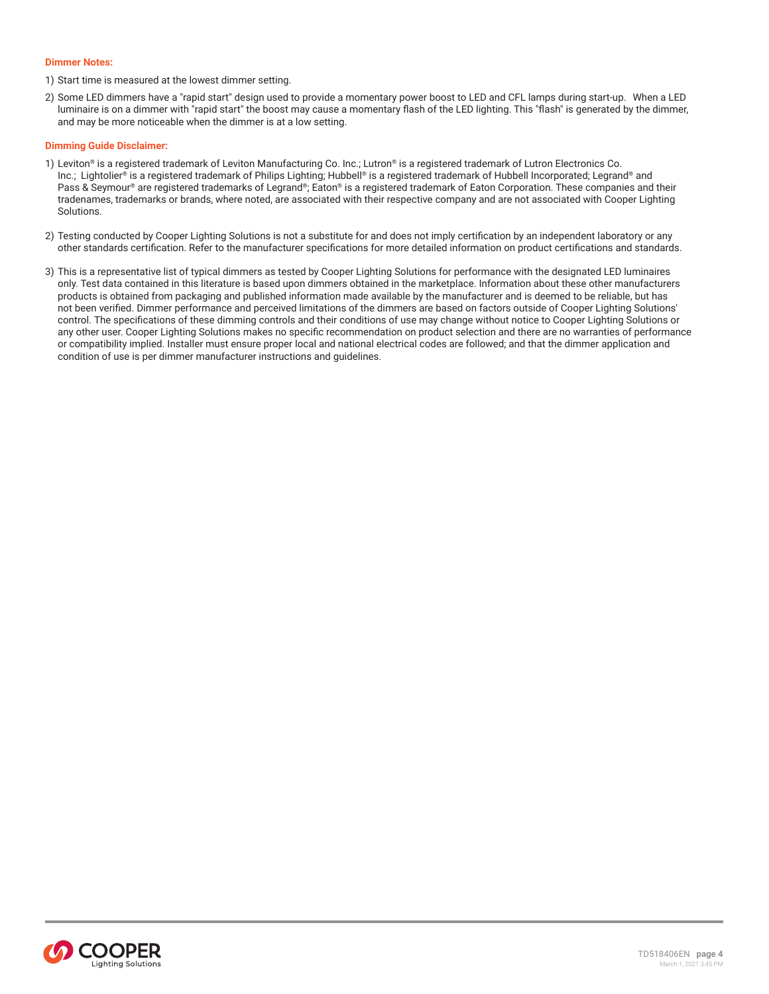#### **Dimmer Notes:**

1) Start time is measured at the lowest dimmer setting.

2) Some LED dimmers have a "rapid start" design used to provide a momentary power boost to LED and CFL lamps during start-up. When a LED luminaire is on a dimmer with "rapid start" the boost may cause a momentary flash of the LED lighting. This "flash" is generated by the dimmer, and may be more noticeable when the dimmer is at a low setting.

#### **Dimming Guide Disclaimer:**

- 1) Leviton® is a registered trademark of Leviton Manufacturing Co. Inc.; Lutron® is a registered trademark of Lutron Electronics Co. Inc.; Lightolier® is a registered trademark of Philips Lighting; Hubbell® is a registered trademark of Hubbell Incorporated; Legrand® and Pass & Seymour® are registered trademarks of Legrand®; Eaton® is a registered trademark of Eaton Corporation. These companies and their tradenames, trademarks or brands, where noted, are associated with their respective company and are not associated with Cooper Lighting Solutions.
- 2) Testing conducted by Cooper Lighting Solutions is not a substitute for and does not imply certification by an independent laboratory or any other standards certification. Refer to the manufacturer specifications for more detailed information on product certifications and standards.
- 3) This is a representative list of typical dimmers as tested by Cooper Lighting Solutions for performance with the designated LED luminaires only. Test data contained in this literature is based upon dimmers obtained in the marketplace. Information about these other manufacturers products is obtained from packaging and published information made available by the manufacturer and is deemed to be reliable, but has not been verified. Dimmer performance and perceived limitations of the dimmers are based on factors outside of Cooper Lighting Solutions' control. The specifications of these dimming controls and their conditions of use may change without notice to Cooper Lighting Solutions or any other user. Cooper Lighting Solutions makes no specific recommendation on product selection and there are no warranties of performance or compatibility implied. Installer must ensure proper local and national electrical codes are followed; and that the dimmer application and condition of use is per dimmer manufacturer instructions and guidelines.

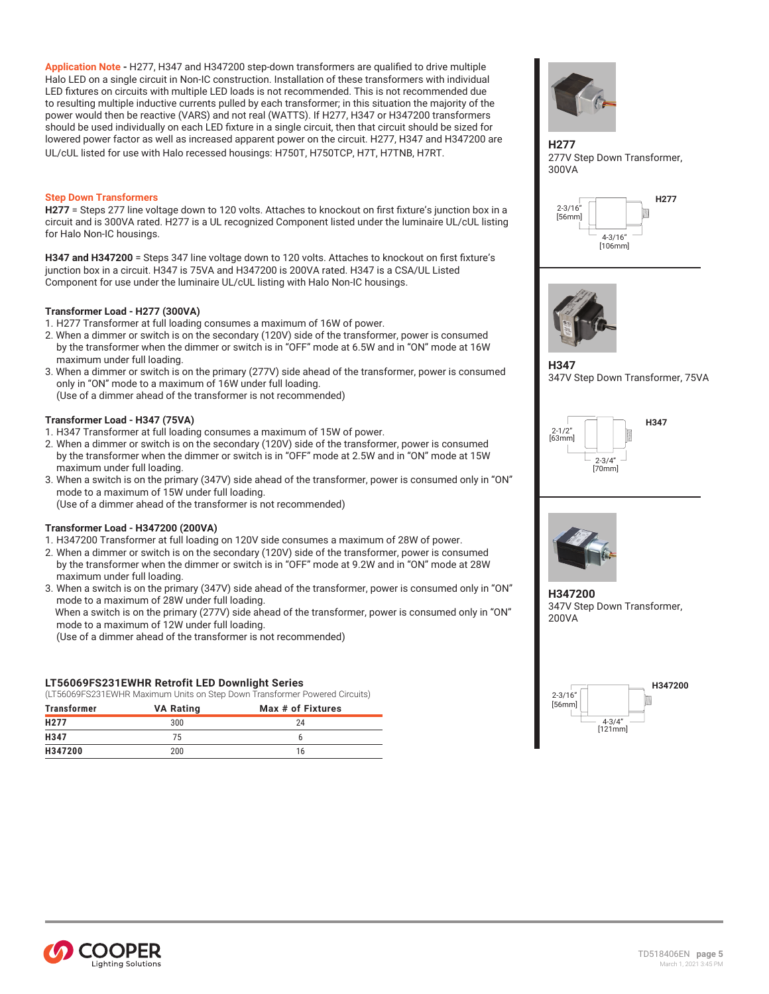**Application Note -** H277, H347 and H347200 step-down transformers are qualified to drive multiple Halo LED on a single circuit in Non-IC construction. Installation of these transformers with individual LED fixtures on circuits with multiple LED loads is not recommended. This is not recommended due to resulting multiple inductive currents pulled by each transformer; in this situation the majority of the power would then be reactive (VARS) and not real (WATTS). If H277, H347 or H347200 transformers should be used individually on each LED fixture in a single circuit, then that circuit should be sized for lowered power factor as well as increased apparent power on the circuit. H277, H347 and H347200 are UL/cUL listed for use with Halo recessed housings: H750T, H750TCP, H7T, H7TNB, H7RT.

#### **Step Down Transformers**

**H277** = Steps 277 line voltage down to 120 volts. Attaches to knockout on first fixture's junction box in a circuit and is 300VA rated. H277 is a UL recognized Component listed under the luminaire UL/cUL listing for Halo Non-IC housings.

**H347 and H347200** = Steps 347 line voltage down to 120 volts. Attaches to knockout on first fixture's junction box in a circuit. H347 is 75VA and H347200 is 200VA rated. H347 is a CSA/UL Listed Component for use under the luminaire UL/cUL listing with Halo Non-IC housings.

#### **Transformer Load - H277 (300VA)**

1. H277 Transformer at full loading consumes a maximum of 16W of power.

- 2. When a dimmer or switch is on the secondary (120V) side of the transformer, power is consumed by the transformer when the dimmer or switch is in "OFF" mode at 6.5W and in "ON" mode at 16W maximum under full loading.
- 3. When a dimmer or switch is on the primary (277V) side ahead of the transformer, power is consumed only in "ON" mode to a maximum of 16W under full loading. (Use of a dimmer ahead of the transformer is not recommended)

#### **Transformer Load - H347 (75VA)**

- 1. H347 Transformer at full loading consumes a maximum of 15W of power.
- 2. When a dimmer or switch is on the secondary (120V) side of the transformer, power is consumed by the transformer when the dimmer or switch is in "OFF" mode at 2.5W and in "ON" mode at 15W maximum under full loading.
- 3. When a switch is on the primary (347V) side ahead of the transformer, power is consumed only in "ON" mode to a maximum of 15W under full loading. (Use of a dimmer ahead of the transformer is not recommended)

#### **Transformer Load - H347200 (200VA)**

- 1. H347200 Transformer at full loading on 120V side consumes a maximum of 28W of power.
- 2. When a dimmer or switch is on the secondary (120V) side of the transformer, power is consumed by the transformer when the dimmer or switch is in "OFF" mode at 9.2W and in "ON" mode at 28W maximum under full loading.
- 3. When a switch is on the primary (347V) side ahead of the transformer, power is consumed only in "ON" mode to a maximum of 28W under full loading.

 When a switch is on the primary (277V) side ahead of the transformer, power is consumed only in "ON" mode to a maximum of 12W under full loading.

(Use of a dimmer ahead of the transformer is not recommended)

#### **LT56069FS231EWHR Retrofit LED Downlight Series**

(LT56069FS231EWHR Maximum Units on Step Down Transformer Powered Circuits)

| <b>Transformer</b> | .<br><b>VA Rating</b> | .<br>Max # of Fixtures |
|--------------------|-----------------------|------------------------|
| H <sub>277</sub>   | 300                   | 24                     |
| H347               | 75                    |                        |
| H347200            | 200                   | 16                     |



**H277** 277V Step Down Transformer, 300VA





**H347** 347V Step Down Transformer, 75VA





**H347200** 347V Step Down Transformer, 200VA